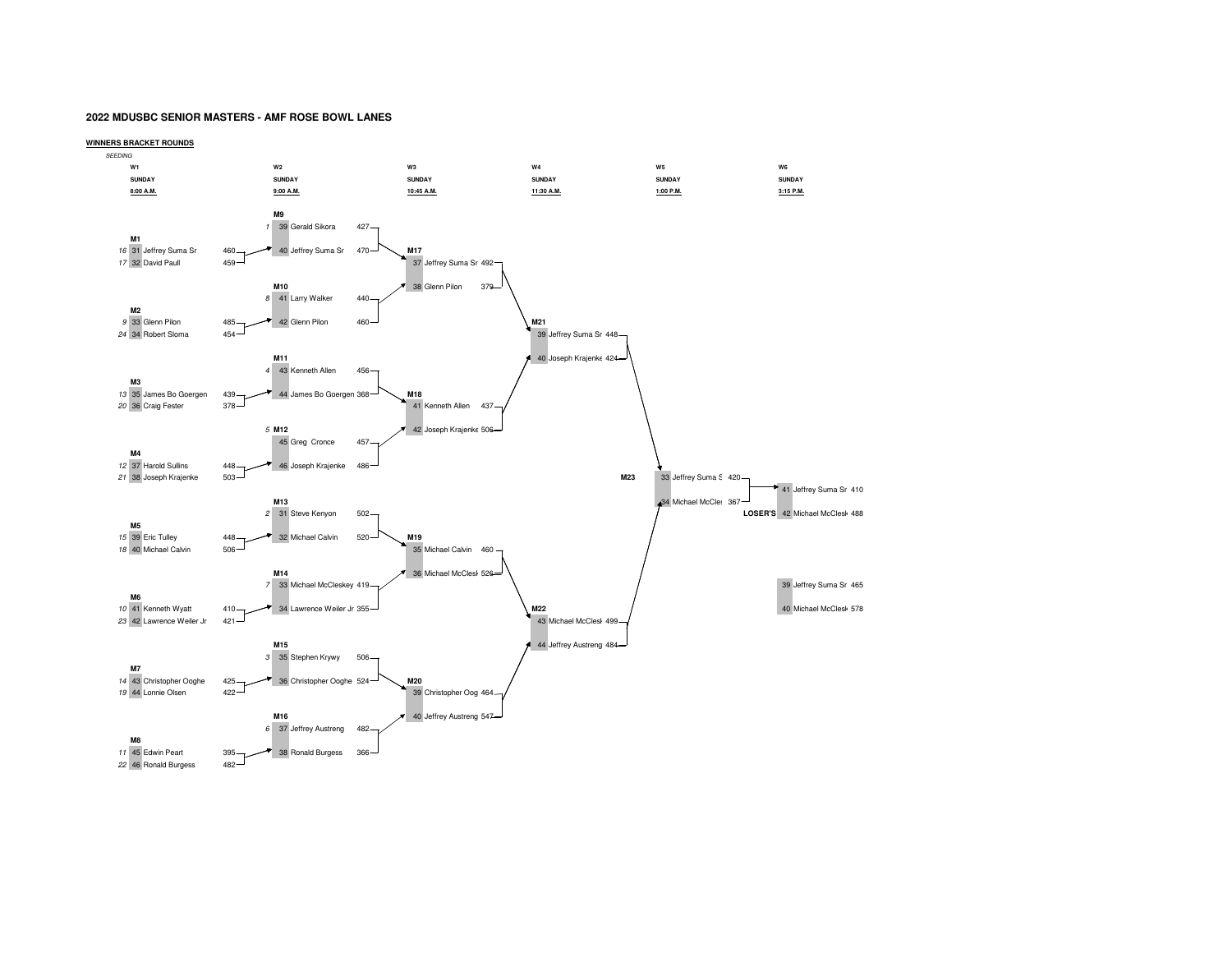## **2022 MDUSBC SENIOR MASTERS - AMF ROSE BOWL LANES**